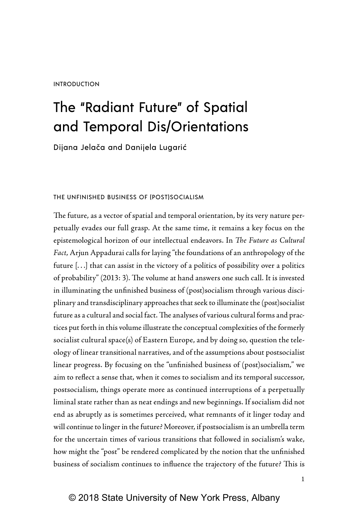## INTRODUCTION

# The "Radiant Future" of Spatial and Temporal Dis/Orientations

Dijana Jelača and Danijela Lugarić

## THE UNFINISHED BUSINESS OF (POST)SOCIALISM

The future, as a vector of spatial and temporal orientation, by its very nature perpetually evades our full grasp. At the same time, it remains a key focus on the epistemological horizon of our intellectual endeavors. In *The Future as Cultural Fact*, Arjun Appadurai calls for laying "the foundations of an anthropology of the future [. . .] that can assist in the victory of a politics of possibility over a politics of probability" (2013: 3). The volume at hand answers one such call. It is invested in illuminating the unfinished business of (post)socialism through various disciplinary and transdisciplinary approaches that seek to illuminate the (post)socialist future as a cultural and social fact. The analyses of various cultural forms and practices put forth in this volume illustrate the conceptual complexities of the formerly socialist cultural space(s) of Eastern Europe, and by doing so, question the teleology of linear transitional narratives, and of the assumptions about postsocialist linear progress. By focusing on the "unfinished business of (post)socialism," we aim to reflect a sense that, when it comes to socialism and its temporal successor, postsocialism, things operate more as continued interruptions of a perpetually liminal state rather than as neat endings and new beginnings. If socialism did not end as abruptly as is sometimes perceived, what remnants of it linger today and will continue to linger in the future? Moreover, if postsocialism is an umbrella term for the uncertain times of various transitions that followed in socialism's wake, how might the "post" be rendered complicated by the notion that the unfinished business of socialism continues to influence the trajectory of the future? This is

1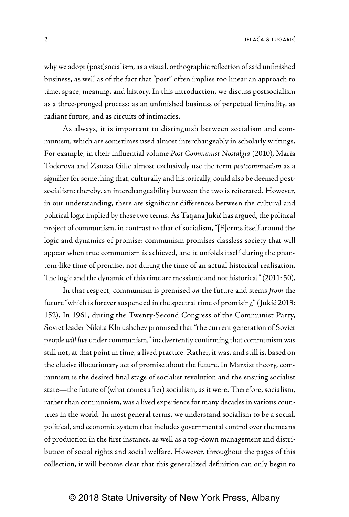why we adopt (post)socialism, as a visual, orthographic reflection of said unfinished business, as well as of the fact that "post" often implies too linear an approach to time, space, meaning, and history. In this introduction, we discuss postsocialism as a three- pronged process: as an unfinished business of perpetual liminality, as radiant future, and as circuits of intimacies.

As always, it is important to distinguish between socialism and communism, which are sometimes used almost interchangeably in scholarly writings. For example, in their influential volume *Post- Communist Nostalgia* (2010), Maria Todorova and Zsuzsa Gille almost exclusively use the term *postcommunism* as a signifier for something that, culturally and historically, could also be deemed postsocialism: thereby, an interchangeability between the two is reiterated. However, in our understanding, there are significant differences between the cultural and political logic implied by these two terms. As Tatjana Jukić has argued, the political project of communism, in contrast to that of socialism, "[F]orms itself around the logic and dynamics of promise: communism promises classless society that will appear when true communism is achieved, and it unfolds itself during the phantom- like time of promise, not during the time of an actual historical realisation. The logic and the dynamic of this time are messianic and not historical" (2011: 50).

In that respect, communism is premised *on* the future and stems *from* the future "which is forever suspended in the spectral time of promising" (Jukić 2013: 152). In 1961, during the Twenty- Second Congress of the Communist Party, Soviet leader Nikita Khrushchev promised that "the current generation of Soviet people *will live* under communism," inadvertently confirming that communism was still not, at that point in time, a lived practice. Rather, it was, and still is, based on the elusive illocutionary act of promise about the future. In Marxist theory, communism is the desired final stage of socialist revolution and the ensuing socialist state—the future of (what comes after) socialism, as it were. Therefore, socialism, rather than communism, was a lived experience for many decades in various countries in the world. In most general terms, we understand socialism to be a social, political, and economic system that includes governmental control over the means of production in the first instance, as well as a top- down management and distribution of social rights and social welfare. However, throughout the pages of this collection, it will become clear that this generalized definition can only begin to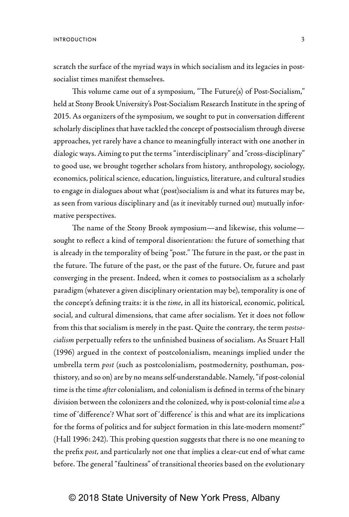scratch the surface of the myriad ways in which socialism and its legacies in postsocialist times manifest themselves.

This volume came out of a symposium, "The Future(s) of Post- Socialism," held at Stony Brook University's Post- Socialism Research Institute in the spring of 2015. As organizers of the symposium, we sought to put in conversation different scholarly disciplines that have tackled the concept of postsocialism through diverse approaches, yet rarely have a chance to meaningfully interact with one another in dialogic ways. Aiming to put the terms "interdisciplinary" and "cross- disciplinary" to good use, we brought together scholars from history, anthropology, sociology, economics, political science, education, linguistics, literature, and cultural studies to engage in dialogues about what (post)socialism is and what its futures may be, as seen from various disciplinary and (as it inevitably turned out) mutually informative perspectives.

The name of the Stony Brook symposium—and likewise, this volume sought to reflect a kind of temporal disorientation: the future of something that is already in the temporality of being "post." The future in the past, or the past in the future. The future of the past, or the past of the future. Or, future and past converging in the present. Indeed, when it comes to postsocialism as a scholarly paradigm (whatever a given disciplinary orientation may be), temporality is one of the concept's defining traits: it is the *time*, in all its historical, economic, political, social, and cultural dimensions, that came after socialism. Yet it does not follow from this that socialism is merely in the past. Quite the contrary, the term *postsocialism* perpetually refers to the unfinished business of socialism. As Stuart Hall (1996) argued in the context of postcolonialism, meanings implied under the umbrella term *post* (such as postcolonialism, postmodernity, posthuman, posthistory, and so on) are by no means self- understandable. Namely, "if post- colonial time is the time *after* colonialism, and colonialism is defined in terms of the binary division between the colonizers and the colonized, why is post- colonial time *also* a time of 'difference'? What sort of 'difference' is this and what are its implications for the forms of politics and for subject formation in this late-modern moment?" (Hall 1996: 242). This probing question suggests that there is no one meaning to the prefix *post*, and particularly not one that implies a clear- cut end of what came before. The general "faultiness" of transitional theories based on the evolutionary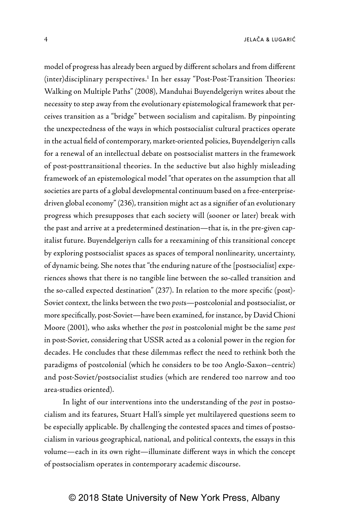model of progress has already been argued by different scholars and from different (inter)disciplinary perspectives.<sup>1</sup> In her essay "Post-Post-Transition Theories: Walking on Multiple Paths" (2008), Manduhai Buyendelgeriyn writes about the necessity to step away from the evolutionary epistemological framework that perceives transition as a "bridge" between socialism and capitalism. By pinpointing the unexpectedness of the ways in which postsocialist cultural practices operate in the actual field of contemporary, market- oriented policies, Buyendelgeriyn calls for a renewal of an intellectual debate on postsocialist matters in the framework of post-posttransitional theories. In the seductive but also highly misleading framework of an epistemological model "that operates on the assumption that all societies are parts of a global developmental continuum based on a free- enterprisedriven global economy" (236), transition might act as a signifier of an evolutionary progress which presupposes that each society will (sooner or later) break with the past and arrive at a predetermined destination—that is, in the pre-given capitalist future. Buyendelgeriyn calls for a reexamining of this transitional concept by exploring postsocialist spaces as spaces of temporal nonlinearity, uncertainty, of dynamic being. She notes that "the enduring nature of the [postsocialist] experiences shows that there is no tangible line between the so- called transition and the so-called expected destination" (237). In relation to the more specific (post)-Soviet context, the links between the two *post*s—postcolonial and postsocialist, or more specifically, post-Soviet—have been examined, for instance, by David Chioni Moore (2001), who asks whether the *post* in postcolonial might be the same *post* in post- Soviet, considering that USSR acted as a colonial power in the region for decades. He concludes that these dilemmas reflect the need to rethink both the paradigms of postcolonial (which he considers to be too Anglo-Saxon–centric) and post- Soviet/postsocialist studies (which are rendered too narrow and too area- studies oriented).

In light of our interventions into the understanding of the *post* in postsocialism and its features, Stuart Hall's simple yet multilayered questions seem to be especially applicable. By challenging the contested spaces and times of postsocialism in various geographical, national, and political contexts, the essays in this volume—each in its own right—illuminate different ways in which the concept of postsocialism operates in contemporary academic discourse.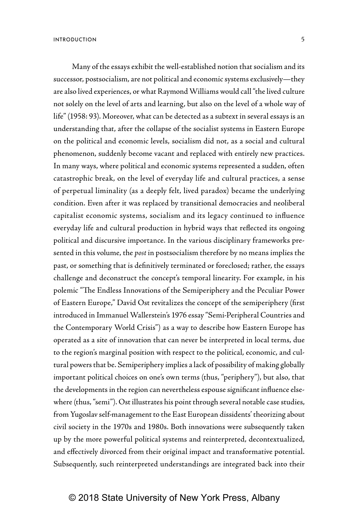Many of the essays exhibit the well- established notion that socialism and its successor, postsocialism, are not political and economic systems exclusively—they are also lived experiences, or what Raymond Williams would call "the lived culture not solely on the level of arts and learning, but also on the level of a whole way of life" (1958: 93). Moreover, what can be detected as a subtext in several essays is an understanding that, after the collapse of the socialist systems in Eastern Europe on the political and economic levels, socialism did not, as a social and cultural phenomenon, suddenly become vacant and replaced with entirely new practices. In many ways, where political and economic systems represented a sudden, often catastrophic break, on the level of everyday life and cultural practices, a sense of perpetual liminality (as a deeply felt, lived paradox) became the underlying condition. Even after it was replaced by transitional democracies and neoliberal capitalist economic systems, socialism and its legacy continued to influence everyday life and cultural production in hybrid ways that reflected its ongoing political and discursive importance. In the various disciplinary frameworks presented in this volume, the *post* in postsocialism therefore by no means implies the past, or something that is definitively terminated or foreclosed; rather, the essays challenge and deconstruct the concept's temporal linearity. For example, in his polemic "The Endless Innovations of the Semiperiphery and the Peculiar Power of Eastern Europe," David Ost revitalizes the concept of the semiperiphery (first introduced in Immanuel Wallerstein's 1976 essay "Semi- Peripheral Countries and the Contemporary World Crisis") as a way to describe how Eastern Europe has operated as a site of innovation that can never be interpreted in local terms, due to the region's marginal position with respect to the political, economic, and cultural powers that be. Semiperiphery implies a lack of possibility of making globally important political choices on one's own terms (thus, "periphery"), but also, that the developments in the region can nevertheless espouse significant influence elsewhere (thus, "semi"). Ost illustrates his point through several notable case studies, from Yugoslav self-management to the East European dissidents' theorizing about civil society in the 1970s and 1980s. Both innovations were subsequently taken up by the more powerful political systems and reinterpreted, decontextualized, and effectively divorced from their original impact and transformative potential. Subsequently, such reinterpreted understandings are integrated back into their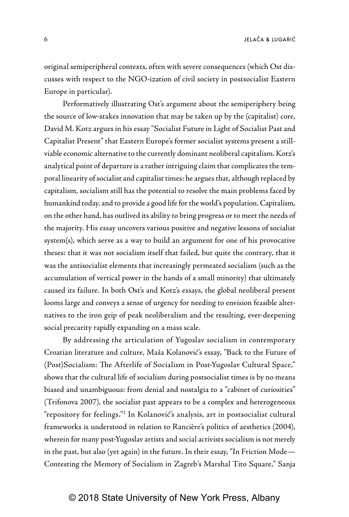6 JELAČA & LUGARIĆ

original semiperipheral contexts, often with severe consequences (which Ost discusses with respect to the NGO- ization of civil society in postsocialist Eastern Europe in particular).

Performatively illustrating Ost's argument about the semiperiphery being the source of low- stakes innovation that may be taken up by the (capitalist) core, David M. Kotz argues in his essay "Socialist Future in Light of Socialist Past and Capitalist Present" that Eastern Europe's former socialist systems present a stillviable economic alternative to the currently dominant neoliberal capitalism. Kotz's analytical point of departure is a rather intriguing claim that complicates the temporal linearity of socialist and capitalist times: he argues that, although replaced by capitalism, socialism still has the potential to resolve the main problems faced by humankind today, and to provide a good life for the world's population. Capitalism, on the other hand, has outlived its ability to bring progress or to meet the needs of the majority. His essay uncovers various positive and negative lessons of socialist system(s), which serve as a way to build an argument for one of his provocative theses: that it was not socialism itself that failed, but quite the contrary, that it was the antisocialist elements that increasingly permeated socialism (such as the accumulation of vertical power in the hands of a small minority) that ultimately caused its failure. In both Ost's and Kotz's essays, the global neoliberal present looms large and conveys a sense of urgency for needing to envision feasible alternatives to the iron grip of peak neoliberalism and the resulting, ever- deepening social precarity rapidly expanding on a mass scale.

By addressing the articulation of Yugoslav socialism in contemporary Croatian literature and culture, Maša Kolanović's essay, "Back to the Future of (Post)Socialism: The Afterlife of Socialism in Post-Yugoslav Cultural Space," shows that the cultural life of socialism during postsocialist times is by no means biased and unambiguous: from denial and nostalgia to a "cabinet of curiosities" (Trifonova 2007), the socialist past appears to be a complex and heterogeneous "repository for feelings."2 In Kolanović's analysis, art in postsocialist cultural frameworks is understood in relation to Rancière's politics of aesthetics (2004), wherein for many post-Yugoslav artists and social activists socialism is not merely in the past, but also (yet again) in the future. In their essay, "In Friction Mode— Contesting the Memory of Socialism in Zagreb's Marshal Tito Square," Sanja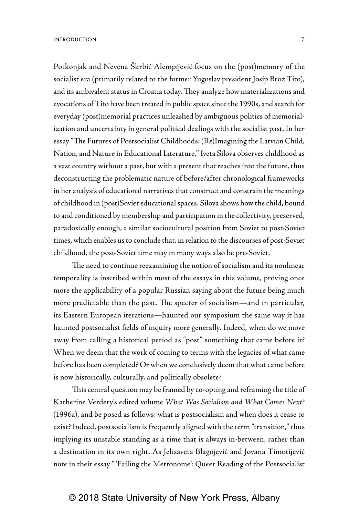Potkonjak and Nevena Škrbić Alempijević focus on the (post) memory of the socialist era (primarily related to the former Yugoslav president Josip Broz Tito), and its ambivalent status in Croatia today. They analyze how materializations and evocations of Tito have been treated in public space since the 1990s, and search for everyday (post)memorial practices unleashed by ambiguous politics of memorialization and uncertainty in general political dealings with the socialist past. In her essay "The Futures of Postsocialist Childhoods: (Re)Imagining the Latvian Child, Nation, and Nature in Educational Literature," Iveta Silova observes childhood as a vast country without a past, but with a present that reaches into the future, thus deconstructing the problematic nature of before/after chronological frameworks in her analysis of educational narratives that construct and constrain the meanings of childhood in (post)Soviet educational spaces. Silova shows how the child, bound to and conditioned by membership and participation in the collectivity, preserved, paradoxically enough, a similar sociocultural position from Soviet to post- Soviet times, which enables us to conclude that, in relation to the discourses of post- Soviet childhood, the post- Soviet time may in many ways also be pre- Soviet.

The need to continue reexamining the notion of socialism and its nonlinear temporality is inscribed within most of the essays in this volume, proving once more the applicability of a popular Russian saying about the future being much more predictable than the past. The specter of socialism—and in particular, its Eastern European iterations—haunted our symposium the same way it has haunted postsocialist fields of inquiry more generally. Indeed, when do we move away from calling a historical period as "post" something that came before it? When we deem that the work of coming to terms with the legacies of what came before has been completed? Or when we conclusively deem that what came before is now historically, culturally, and politically obsolete?

This central question may be framed by co- opting and reframing the title of Katherine Verdery's edited volume *What Was Socialism and What Comes Next?* (1996a), and be posed as follows: what is postsocialism and when does it cease to exist? Indeed, postsocialism is frequently aligned with the term "transition," thus implying its unstable standing as a time that is always in- between, rather than a destination in its own right. As Jelisaveta Blagojević and Jovana Timotijević note in their essay " 'Failing the Metronome': Queer Reading of the Postsocialist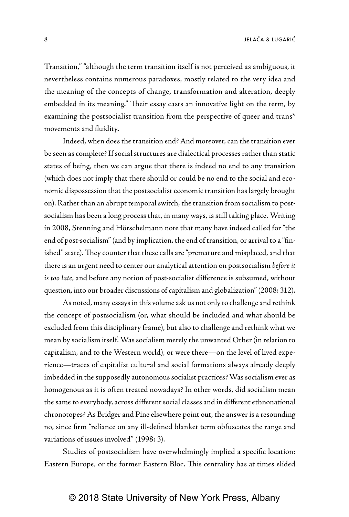Transition," "although the term transition itself is not perceived as ambiguous, it nevertheless contains numerous paradoxes, mostly related to the very idea and the meaning of the concepts of change, transformation and alteration, deeply embedded in its meaning." Their essay casts an innovative light on the term, by examining the postsocialist transition from the perspective of queer and trans\* movements and fluidity.

Indeed, when does the transition end? And moreover, can the transition ever be seen as complete? If social structures are dialectical processes rather than static states of being, then we can argue that there is indeed no end to any transition (which does not imply that there should or could be no end to the social and economic dispossession that the postsocialist economic transition has largely brought on). Rather than an abrupt temporal switch, the transition from socialism to postsocialism has been a long process that, in many ways, is still taking place. Writing in 2008, Stenning and Hörschelmann note that many have indeed called for "the end of post-socialism" (and by implication, the end of transition, or arrival to a "finished" state). They counter that these calls are "premature and misplaced, and that there is an urgent need to center our analytical attention on postsocialism *before it is too late*, and before any notion of post- socialist difference is subsumed, without question, into our broader discussions of capitalism and globalization" (2008: 312).

As noted, many essays in this volume ask us not only to challenge and rethink the concept of postsocialism (or, what should be included and what should be excluded from this disciplinary frame), but also to challenge and rethink what we mean by socialism itself. Was socialism merely the unwanted Other (in relation to capitalism, and to the Western world), or were there—on the level of lived experience—traces of capitalist cultural and social formations always already deeply imbedded in the supposedly autonomous socialist practices? Was socialism ever as homogenous as it is often treated nowadays? In other words, did socialism mean the same to everybody, across different social classes and in different ethnonational chronotopes? As Bridger and Pine elsewhere point out, the answer is a resounding no, since firm "reliance on any ill- defined blanket term obfuscates the range and variations of issues involved" (1998: 3).

Studies of postsocialism have overwhelmingly implied a specific location: Eastern Europe, or the former Eastern Bloc. This centrality has at times elided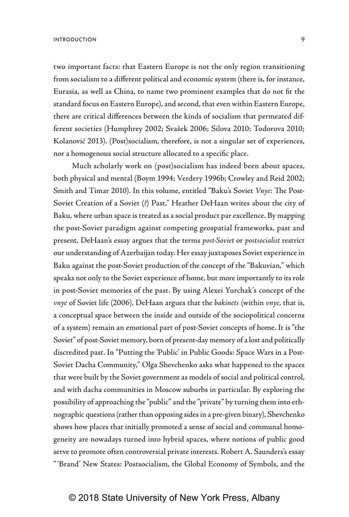two important facts: that Eastern Europe is not the only region transitioning from socialism to a different political and economic system (there is, for instance, Eurasia, as well as China, to name two prominent examples that do not fit the standard focus on Eastern Europe), and second, that even within Eastern Europe, there are critical differences between the kinds of socialism that permeated different societies (Humphrey 2002; Svašek 2006; Silova 2010; Todorova 2010; Kolanović 2013). (Post)socialism, therefore, is not a singular set of experiences, nor a homogenous social structure allocated to a specific place.

Much scholarly work on (post)socialism has indeed been about spaces, both physical and mental (Boym 1994; Verdery 1996b; Crowley and Reid 2002; Smith and Timar 2010). In this volume, entitled "Baku's Soviet *Vnye*: The Post-Soviet Creation of a Soviet (?) Past," Heather DeHaan writes about the city of Baku, where urban space is treated as a social product par excellence. By mapping the post- Soviet paradigm against competing geospatial frameworks, past and present, DeHaan's essay argues that the terms *post- Soviet* or *postsocialist* restrict our understanding of Azerbaijan today. Her essay juxtaposes Soviet experience in Baku against the post- Soviet production of the concept of the "Bakuvian," which speaks not only to the Soviet experience of home, but more importantly to its role in post- Soviet memories of the past. By using Alexei Yurchak's concept of the *vnye* of Soviet life (2006), DeHaan argues that the *bakinets* (within *vnye*, that is, a conceptual space between the inside and outside of the sociopolitical concerns of a system) remain an emotional part of post- Soviet concepts of home. It is "the Soviet" of post- Soviet memory, born of present- day memory of a lost and politically discredited past. In "Putting the 'Public' in Public Goods: Space Wars in a Post-Soviet Dacha Community," Olga Shevchenko asks what happened to the spaces that were built by the Soviet government as models of social and political control, and with dacha communities in Moscow suburbs in particular. By exploring the possibility of approaching the "public" and the "private" by turning them into ethnographic questions (rather than opposing sides in a pre- given binary), Shevchenko shows how places that initially promoted a sense of social and communal homogeneity are nowadays turned into hybrid spaces, where notions of public good serve to promote often controversial private interests. Robert A. Saunders's essay " 'Brand' New States: Postsocialism, the Global Economy of Symbols, and the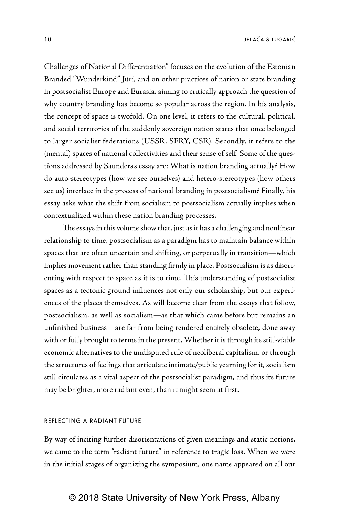Challenges of National Differentiation" focuses on the evolution of the Estonian Branded "Wunderkind" Jüri, and on other practices of nation or state branding in postsocialist Europe and Eurasia, aiming to critically approach the question of why country branding has become so popular across the region. In his analysis, the concept of space is twofold. On one level, it refers to the cultural, political, and social territories of the suddenly sovereign nation states that once belonged to larger socialist federations (USSR, SFRY, CSR). Secondly, it refers to the (mental) spaces of national collectivities and their sense of self. Some of the questions addressed by Saunders's essay are: What is nation branding actually? How do auto- stereotypes (how we see ourselves) and hetero- stereotypes (how others see us) interlace in the process of national branding in postsocialism? Finally, his essay asks what the shift from socialism to postsocialism actually implies when contextualized within these nation branding processes.

The essays in this volume show that, just as it has a challenging and nonlinear relationship to time, postsocialism as a paradigm has to maintain balance within spaces that are often uncertain and shifting, or perpetually in transition—which implies movement rather than standing firmly in place. Postsocialism is as disorienting with respect to space as it is to time. This understanding of postsocialist spaces as a tectonic ground influences not only our scholarship, but our experiences of the places themselves. As will become clear from the essays that follow, postsocialism, as well as socialism—as that which came before but remains an unfinished business—are far from being rendered entirely obsolete, done away with or fully brought to terms in the present. Whether it is through its still-viable economic alternatives to the undisputed rule of neoliberal capitalism, or through the structures of feelings that articulate intimate/public yearning for it, socialism still circulates as a vital aspect of the postsocialist paradigm, and thus its future may be brighter, more radiant even, than it might seem at first.

## REFLECTING A RADIANT FUTURE

By way of inciting further disorientations of given meanings and static notions, we came to the term "radiant future" in reference to tragic loss. When we were in the initial stages of organizing the symposium, one name appeared on all our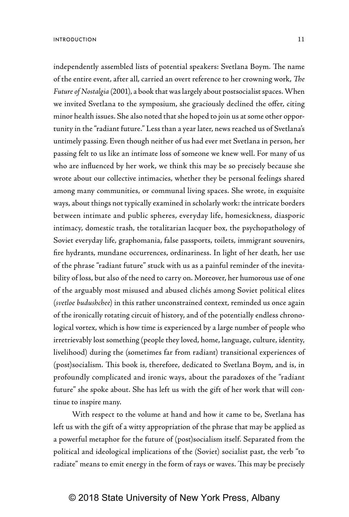independently assembled lists of potential speakers: Svetlana Boym. The name of the entire event, after all, carried an overt reference to her crowning work, *The Future of Nostalgia* (2001), a book that was largely about postsocialist spaces. When we invited Svetlana to the symposium, she graciously declined the offer, citing minor health issues. She also noted that she hoped to join us at some other opportunity in the "radiant future." Less than a year later, news reached us of Svetlana's untimely passing. Even though neither of us had ever met Svetlana in person, her passing felt to us like an intimate loss of someone we knew well. For many of us who are influenced by her work, we think this may be so precisely because she wrote about our collective intimacies, whether they be personal feelings shared among many communities, or communal living spaces. She wrote, in exquisite ways, about things not typically examined in scholarly work: the intricate borders between intimate and public spheres, everyday life, homesickness, diasporic intimacy, domestic trash, the totalitarian lacquer box, the psychopathology of Soviet everyday life, graphomania, false passports, toilets, immigrant souvenirs, fire hydrants, mundane occurrences, ordinariness. In light of her death, her use of the phrase "radiant future" stuck with us as a painful reminder of the inevitability of loss, but also of the need to carry on. Moreover, her humorous use of one of the arguably most misused and abused clichés among Soviet political elites (*svetloe budushchee*) in this rather unconstrained context, reminded us once again of the ironically rotating circuit of history, and of the potentially endless chronological vortex, which is how time is experienced by a large number of people who irretrievably lost something (people they loved, home, language, culture, identity, livelihood) during the (sometimes far from radiant) transitional experiences of (post)socialism. This book is, therefore, dedicated to Svetlana Boym, and is, in profoundly complicated and ironic ways, about the paradoxes of the "radiant future" she spoke about. She has left us with the gift of her work that will continue to inspire many.

With respect to the volume at hand and how it came to be, Svetlana has left us with the gift of a witty appropriation of the phrase that may be applied as a powerful metaphor for the future of (post)socialism itself. Separated from the political and ideological implications of the (Soviet) socialist past, the verb "to radiate" means to emit energy in the form of rays or waves. This may be precisely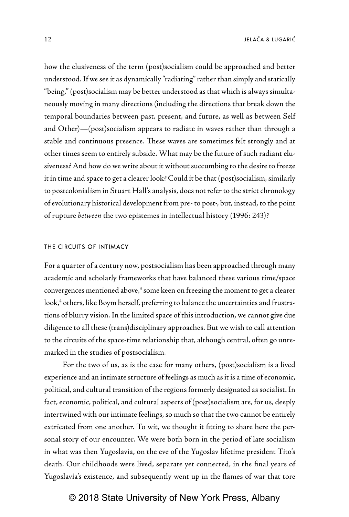how the elusiveness of the term (post)socialism could be approached and better understood. If we see it as dynamically "radiating" rather than simply and statically "being," (post)socialism may be better understood as that which is always simultaneously moving in many directions (including the directions that break down the temporal boundaries between past, present, and future, as well as between Self and Other)—(post)socialism appears to radiate in waves rather than through a stable and continuous presence. These waves are sometimes felt strongly and at other times seem to entirely subside. What may be the future of such radiant elusiveness? And how do we write about it without succumbing to the desire to freeze it in time and space to get a clearer look? Could it be that (post)socialism, similarly to postcolonialism in Stuart Hall's analysis, does not refer to the strict chronology of evolutionary historical development from pre- to post- , but, instead, to the point of rupture *between* the two epistemes in intellectual history (1996: 243)?

#### THE CIRCUITS OF INTIMACY

For a quarter of a century now, postsocialism has been approached through many academic and scholarly frameworks that have balanced these various time/space convergences mentioned above, $^3$  some keen on freezing the moment to get a clearer look,<sup>4</sup> others, like Boym herself, preferring to balance the uncertainties and frustrations of blurry vision. In the limited space of this introduction, we cannot give due diligence to all these (trans)disciplinary approaches. But we wish to call attention to the circuits of the space-time relationship that, although central, often go unremarked in the studies of postsocialism.

For the two of us, as is the case for many others, (post)socialism is a lived experience and an intimate structure of feelings as much as it is a time of economic, political, and cultural transition of the regions formerly designated as socialist. In fact, economic, political, and cultural aspects of (post)socialism are, for us, deeply intertwined with our intimate feelings, so much so that the two cannot be entirely extricated from one another. To wit, we thought it fitting to share here the personal story of our encounter. We were both born in the period of late socialism in what was then Yugoslavia, on the eve of the Yugoslav lifetime president Tito's death. Our childhoods were lived, separate yet connected, in the final years of Yugoslavia's existence, and subsequently went up in the flames of war that tore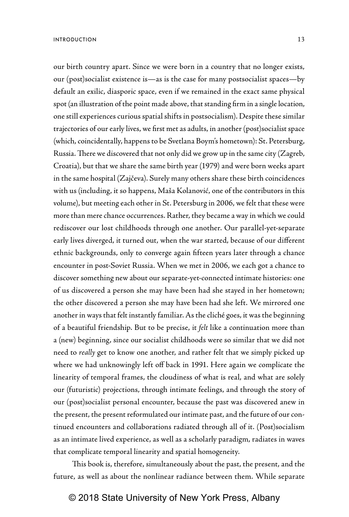our birth country apart. Since we were born in a country that no longer exists, our (post)socialist existence is—as is the case for many postsocialist spaces—by default an exilic, diasporic space, even if we remained in the exact same physical spot (an illustration of the point made above, that standing firm in a single location, one still experiences curious spatial shifts in postsocialism). Despite these similar trajectories of our early lives, we first met as adults, in another (post)socialist space (which, coincidentally, happens to be Svetlana Boym's hometown): St. Petersburg, Russia. There we discovered that not only did we grow up in the same city (Zagreb, Croatia), but that we share the same birth year (1979) and were born weeks apart in the same hospital (Zajčeva). Surely many others share these birth coincidences with us (including, it so happens, Maša Kolanović, one of the contributors in this volume), but meeting each other in St. Petersburg in 2006, we felt that these were more than mere chance occurrences. Rather, they became a way in which we could rediscover our lost childhoods through one another. Our parallel-yet-separate early lives diverged, it turned out, when the war started, because of our different ethnic backgrounds, only to converge again fifteen years later through a chance encounter in post-Soviet Russia. When we met in 2006, we each got a chance to discover something new about our separate- yet- connected intimate histories: one of us discovered a person she may have been had she stayed in her hometown; the other discovered a person she may have been had she left. We mirrored one another in ways that felt instantly familiar. As the cliché goes, it was the beginning of a beautiful friendship. But to be precise, it *felt* like a continuation more than a (new) beginning, since our socialist childhoods were so similar that we did not need to *really* get to know one another, and rather felt that we simply picked up where we had unknowingly left off back in 1991. Here again we complicate the linearity of temporal frames, the cloudiness of what is real, and what are solely our (futuristic) projections, through intimate feelings, and through the story of our (post)socialist personal encounter, because the past was discovered anew in the present, the present reformulated our intimate past, and the future of our continued encounters and collaborations radiated through all of it. (Post)socialism as an intimate lived experience, as well as a scholarly paradigm, radiates in waves that complicate temporal linearity and spatial homogeneity.

This book is, therefore, simultaneously about the past, the present, and the future, as well as about the nonlinear radiance between them. While separate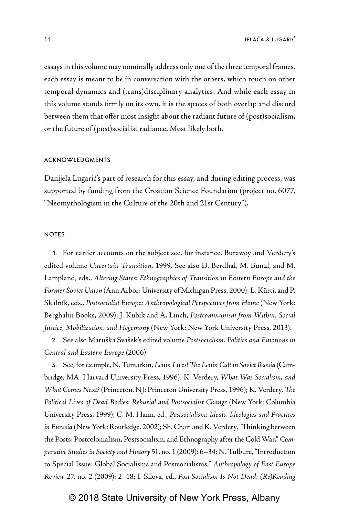essays in this volume may nominally address only one of the three temporal frames, each essay is meant to be in conversation with the others, which touch on other temporal dynamics and (trans)disciplinary analytics. And while each essay in this volume stands firmly on its own, it is the spaces of both overlap and discord between them that offer most insight about the radiant future of (post)socialism, or the future of (post)socialist radiance. Most likely both.

#### ACKNOWLEDGMENTS

Danijela Lugarić's part of research for this essay, and during editing process, was supported by funding from the Croatian Science Foundation (project no. 6077, "Neomythologism in the Culture of the 20th and 21st Century").

#### NOTES

1. For earlier accounts on the subject see, for instance, Burawoy and Verdery's edited volume *Uncertain Transition*, 1999. See also D. Berdhal, M. Bunzl, and M. Lampland, eds., *Altering States: Ethnographies of Transition in Eastern Europe and the Former Soviet Union* (Ann Arbor: University of Michigan Press, 2000); L. Kürti, and P. Skalník, eds., *Postsocialist Europe: Anthropological Perspectives from Home* (New York: Berghahn Books, 2009); J. Kubik and A. Linch, *Postcommunism from Within: Social Justice, Mobilization, and Hegemony* (New York: New York University Press, 2013).

2. See also Maruška Svašek's edited volume *Postsocialism. Politics and Emotions in Central and Eastern Europe* (2006).

3. See, for example, N. Tumarkin, *Lenin Lives! The Lenin Cult in Soviet Russia* (Cambridge, MA: Harvard University Press, 1996); K. Verdery, *What Was Socialism, and What Comes Next?* (Princeton, NJ: Princeton University Press, 1996); K. Verdery, *The Political Lives of Dead Bodies: Reburial and Postsocialist Change* (New York: Columbia University Press, 1999); C. M. Hann, ed., *Postsocialism: Ideals, Ideologies and Practices in Eurasia* (New York: Routledge, 2002); Sh. Chari and K. Verdery, "Thinking between the Posts: Postcolonialism, Postsocialism, and Ethnography after the Cold War," *Comparative Studies in Society and History* 51, no. 1 (2009): 6–34; N. Tulbure, "Introduction to Special Issue: Global Socialisms and Postsocialisms," *Anthropology of East Europe Review* 27, no. 2 (2009): 2–18; I. Silova, ed., *Post- Socialism Is Not Dead: (Re)Reading*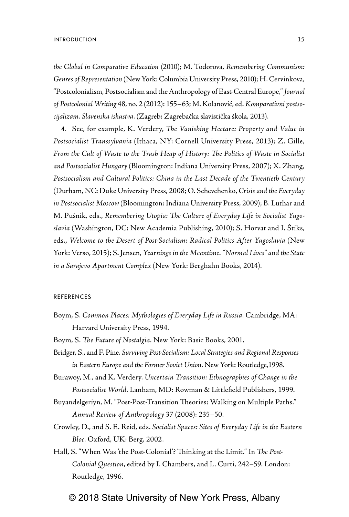#### **INTRODUCTION** 15

*the Global in Comparative Education* (2010); M. Todorova, *Remembering Communism: Genres of Representation* (New York: Columbia University Press, 2010); H. Cervinkova, "Postcolonialism, Postsocialism and the Anthropology of East- Central Europe," *Journal of Postcolonial Writing* 48, no. 2 (2012): 155–63; M. Kolanović, ed. *Komparativni postsocijalizam. Slavenska iskustva*. (Zagreb: Zagrebačka slavistička škola, 2013).

4. See, for example, K. Verdery, *The Vanishing Hectare: Property and Value in Postsocialist Transsylvania* (Ithaca, NY: Cornell University Press, 2013); Z. Gille, *From the Cult of Waste to the Trash Heap of History: The Politics of Waste in Socialist and Postsocialist Hungary* (Bloomington: Indiana University Press, 2007); X. Zhang, *Postsocialism and Cultural Politics: China in the Last Decade of the Twentieth Century* (Durham, NC: Duke University Press, 2008; O. Schevchenko, *Crisis and the Everyday in Postsocialist Moscow* (Bloomington: Indiana University Press, 2009); B. Luthar and M. Pušnik, eds., *Remembering Utopia: The Culture of Everyday Life in Socialist Yugoslavia* (Washington, DC: New Academia Publishing, 2010); S. Horvat and I. Štiks, eds., *Welcome to the Desert of Post- Socialism: Radical Politics After Yugoslavia* (New York: Verso, 2015); S. Jensen, *Yearnings in the Meantime. "Normal Lives" and the State in a Sarajevo Apartment Complex* (New York: Berghahn Books, 2014).

#### **REFERENCES**

- Boym, S. *Common Places: Mythologies of Everyday Life in Russia*. Cambridge, MA: Harvard University Press, 1994.
- Boym, S. *The Future of Nostalgia*. New York: Basic Books, 2001.
- Bridger, S., and F. Pine. *Surviving Post- Socialism: Local Strategies and Regional Responses in Eastern Europe and the Former Soviet Union*. New York: Routledge,1998.
- Burawoy, M., and K. Verdery. *Uncertain Transition: Ethnographies of Change in the Postsocialist World*. Lanham, MD: Rowman & Littlefield Publishers, 1999.
- Buyandelgeriyn, M. "Post-Post-Transition Theories: Walking on Multiple Paths." *Annual Review of Anthropology* 37 (2008): 235–50.
- Crowley, D., and S. E. Reid, eds. *Socialist Spaces: Sites of Everyday Life in the Eastern Bloc*. Oxford, UK: Berg, 2002.
- Hall, S. "When Was 'the Post- Colonial'? Thinking at the Limit." In *The Post-Colonial Question*, edited by I. Chambers, and L. Curti, 242–59. London: Routledge, 1996.